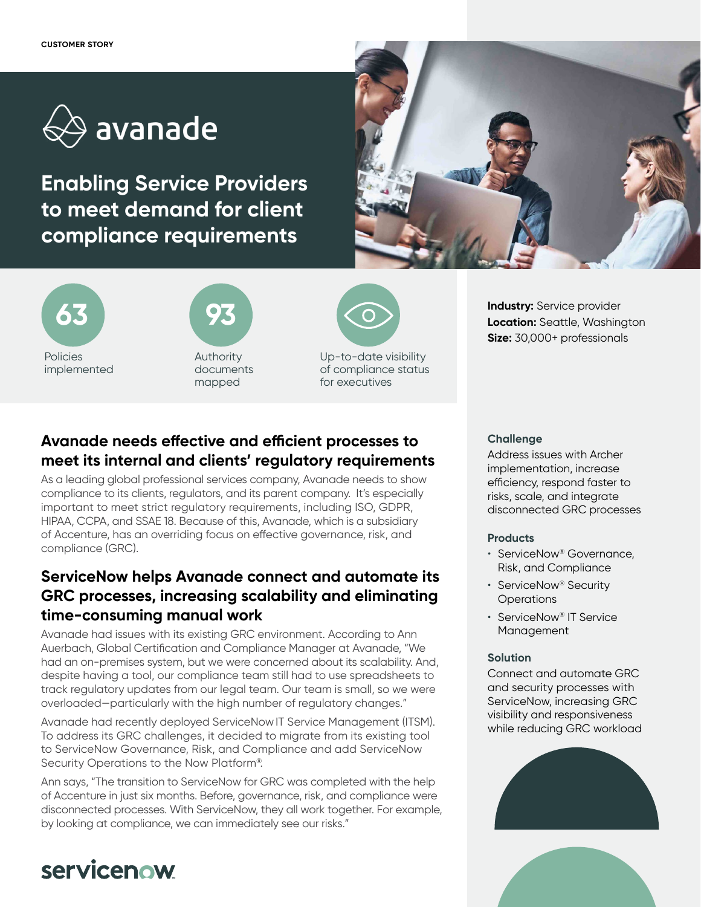

**Enabling Service Providers to meet demand for client compliance requirements**







Authority documents mapped



Up-to-date visibility of compliance status for executives

# **Avanade needs effective and efficient processes to meet its internal and clients' regulatory requirements**

As a leading global professional services company, Avanade needs to show compliance to its clients, regulators, and its parent company. It's especially important to meet strict regulatory requirements, including ISO, GDPR, HIPAA, CCPA, and SSAE 18. Because of this, Avanade, which is a subsidiary of Accenture, has an overriding focus on effective governance, risk, and compliance (GRC).

### **ServiceNow helps Avanade connect and automate its GRC processes, increasing scalability and eliminating time-consuming manual work**

Avanade had issues with its existing GRC environment. According to Ann Auerbach, Global Certification and Compliance Manager at Avanade, "We had an on-premises system, but we were concerned about its scalability. And, despite having a tool, our compliance team still had to use spreadsheets to track regulatory updates from our legal team. Our team is small, so we were overloaded—particularly with the high number of regulatory changes."

Avanade had recently deployed ServiceNowIT Service Management (ITSM). To address its GRC challenges, it decided to migrate from its existing tool to ServiceNow Governance, Risk, and Compliance and add ServiceNow Security Operations to the Now Platform®.

Ann says, "The transition to ServiceNow for GRC was completed with the help of Accenture in just six months. Before, governance, risk, and compliance were disconnected processes. With ServiceNow, they all work together. For example, by looking at compliance, we can immediately see our risks."

#### **Challenge**

Address issues with Archer implementation, increase efficiency, respond faster to risks, scale, and integrate disconnected GRC processes

**Industry:** Service provider **Location:** Seattle, Washington **Size:** 30,000+ professionals

#### **Products**

- ServiceNow® Governance, Risk, and Compliance
- ServiceNow® Security **Operations**
- ServiceNow® IT Service Management

#### **Solution**

Connect and automate GRC and security processes with ServiceNow, increasing GRC visibility and responsiveness while reducing GRC workload





# servicenow